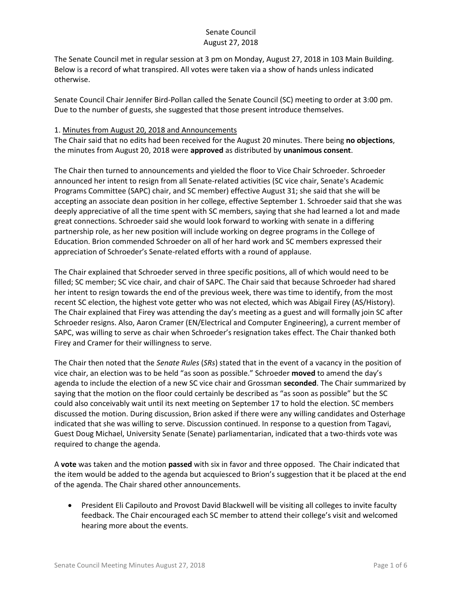The Senate Council met in regular session at 3 pm on Monday, August 27, 2018 in 103 Main Building. Below is a record of what transpired. All votes were taken via a show of hands unless indicated otherwise.

Senate Council Chair Jennifer Bird-Pollan called the Senate Council (SC) meeting to order at 3:00 pm. Due to the number of guests, she suggested that those present introduce themselves.

#### 1. Minutes from August 20, 2018 and Announcements

The Chair said that no edits had been received for the August 20 minutes. There being **no objections**, the minutes from August 20, 2018 were **approved** as distributed by **unanimous consent**.

The Chair then turned to announcements and yielded the floor to Vice Chair Schroeder. Schroeder announced her intent to resign from all Senate-related activities (SC vice chair, Senate's Academic Programs Committee (SAPC) chair, and SC member) effective August 31; she said that she will be accepting an associate dean position in her college, effective September 1. Schroeder said that she was deeply appreciative of all the time spent with SC members, saying that she had learned a lot and made great connections. Schroeder said she would look forward to working with senate in a differing partnership role, as her new position will include working on degree programs in the College of Education. Brion commended Schroeder on all of her hard work and SC members expressed their appreciation of Schroeder's Senate-related efforts with a round of applause.

The Chair explained that Schroeder served in three specific positions, all of which would need to be filled; SC member; SC vice chair, and chair of SAPC. The Chair said that because Schroeder had shared her intent to resign towards the end of the previous week, there was time to identify, from the most recent SC election, the highest vote getter who was not elected, which was Abigail Firey (AS/History). The Chair explained that Firey was attending the day's meeting as a guest and will formally join SC after Schroeder resigns. Also, Aaron Cramer (EN/Electrical and Computer Engineering), a current member of SAPC, was willing to serve as chair when Schroeder's resignation takes effect. The Chair thanked both Firey and Cramer for their willingness to serve.

The Chair then noted that the *Senate Rules* (*SRs*) stated that in the event of a vacancy in the position of vice chair, an election was to be held "as soon as possible." Schroeder **moved** to amend the day's agenda to include the election of a new SC vice chair and Grossman **seconded**. The Chair summarized by saying that the motion on the floor could certainly be described as "as soon as possible" but the SC could also conceivably wait until its next meeting on September 17 to hold the election. SC members discussed the motion. During discussion, Brion asked if there were any willing candidates and Osterhage indicated that she was willing to serve. Discussion continued. In response to a question from Tagavi, Guest Doug Michael, University Senate (Senate) parliamentarian, indicated that a two-thirds vote was required to change the agenda.

A **vote** was taken and the motion **passed** with six in favor and three opposed. The Chair indicated that the item would be added to the agenda but acquiesced to Brion's suggestion that it be placed at the end of the agenda. The Chair shared other announcements.

 President Eli Capilouto and Provost David Blackwell will be visiting all colleges to invite faculty feedback. The Chair encouraged each SC member to attend their college's visit and welcomed hearing more about the events.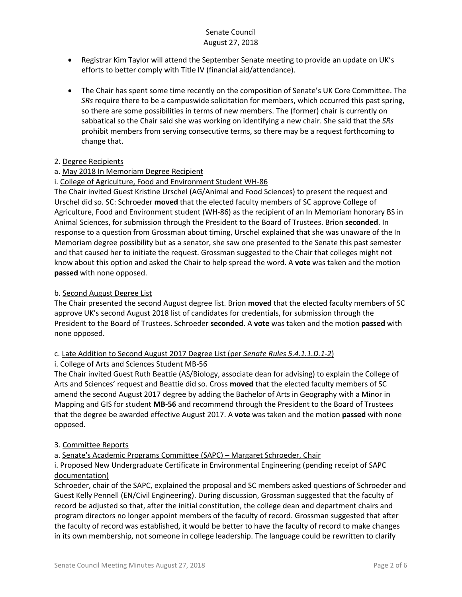- Registrar Kim Taylor will attend the September Senate meeting to provide an update on UK's efforts to better comply with Title IV (financial aid/attendance).
- The Chair has spent some time recently on the composition of Senate's UK Core Committee. The *SRs* require there to be a campuswide solicitation for members, which occurred this past spring, so there are some possibilities in terms of new members. The (former) chair is currently on sabbatical so the Chair said she was working on identifying a new chair. She said that the *SRs* prohibit members from serving consecutive terms, so there may be a request forthcoming to change that.

## 2. Degree Recipients

## a. May 2018 In Memoriam Degree Recipient

## i. College of Agriculture, Food and Environment Student WH-86

The Chair invited Guest Kristine Urschel (AG/Animal and Food Sciences) to present the request and Urschel did so. SC: Schroeder **moved** that the elected faculty members of SC approve College of Agriculture, Food and Environment student (WH-86) as the recipient of an In Memoriam honorary BS in Animal Sciences, for submission through the President to the Board of Trustees. Brion **seconded**. In response to a question from Grossman about timing, Urschel explained that she was unaware of the In Memoriam degree possibility but as a senator, she saw one presented to the Senate this past semester and that caused her to initiate the request. Grossman suggested to the Chair that colleges might not know about this option and asked the Chair to help spread the word. A **vote** was taken and the motion **passed** with none opposed.

## b. Second August Degree List

The Chair presented the second August degree list. Brion **moved** that the elected faculty members of SC approve UK's second August 2018 list of candidates for credentials, for submission through the President to the Board of Trustees. Schroeder **seconded**. A **vote** was taken and the motion **passed** with none opposed.

## c. Late Addition to Second August 2017 Degree List (per *Senate Rules 5.4.1.1.D.1-2*)

#### i. College of Arts and Sciences Student MB-56

The Chair invited Guest Ruth Beattie (AS/Biology, associate dean for advising) to explain the College of Arts and Sciences' request and Beattie did so. Cross **moved** that the elected faculty members of SC amend the second August 2017 degree by adding the Bachelor of Arts in Geography with a Minor in Mapping and GIS for student **MB-56** and recommend through the President to the Board of Trustees that the degree be awarded effective August 2017. A **vote** was taken and the motion **passed** with none opposed.

#### 3. Committee Reports

a. Senate's Academic Programs Committee (SAPC) – Margaret Schroeder, Chair

i. Proposed New Undergraduate Certificate in Environmental Engineering (pending receipt of SAPC documentation)

Schroeder, chair of the SAPC, explained the proposal and SC members asked questions of Schroeder and Guest Kelly Pennell (EN/Civil Engineering). During discussion, Grossman suggested that the faculty of record be adjusted so that, after the initial constitution, the college dean and department chairs and program directors no longer appoint members of the faculty of record. Grossman suggested that after the faculty of record was established, it would be better to have the faculty of record to make changes in its own membership, not someone in college leadership. The language could be rewritten to clarify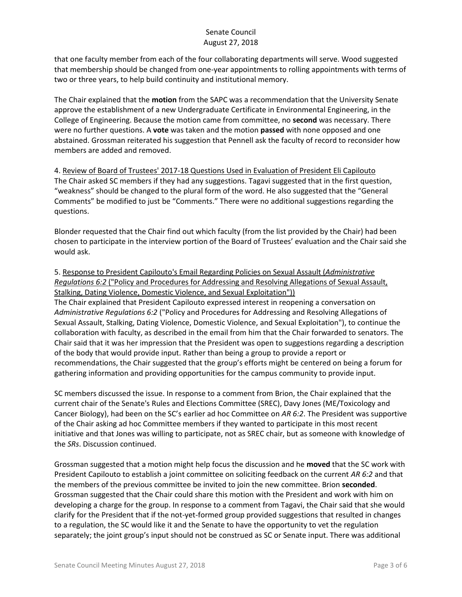that one faculty member from each of the four collaborating departments will serve. Wood suggested that membership should be changed from one-year appointments to rolling appointments with terms of two or three years, to help build continuity and institutional memory.

The Chair explained that the **motion** from the SAPC was a recommendation that the University Senate approve the establishment of a new Undergraduate Certificate in Environmental Engineering, in the College of Engineering. Because the motion came from committee, no **second** was necessary. There were no further questions. A **vote** was taken and the motion **passed** with none opposed and one abstained. Grossman reiterated his suggestion that Pennell ask the faculty of record to reconsider how members are added and removed.

4. Review of Board of Trustees' 2017-18 Questions Used in Evaluation of President Eli Capilouto The Chair asked SC members if they had any suggestions. Tagavi suggested that in the first question, "weakness" should be changed to the plural form of the word. He also suggested that the "General Comments" be modified to just be "Comments." There were no additional suggestions regarding the questions.

Blonder requested that the Chair find out which faculty (from the list provided by the Chair) had been chosen to participate in the interview portion of the Board of Trustees' evaluation and the Chair said she would ask.

5. Response to President Capilouto's Email Regarding Policies on Sexual Assault (*Administrative Regulations 6:2* ("Policy and Procedures for Addressing and Resolving Allegations of Sexual Assault, Stalking, Dating Violence, Domestic Violence, and Sexual Exploitation")) The Chair explained that President Capilouto expressed interest in reopening a conversation on *Administrative Regulations 6:2* ("Policy and Procedures for Addressing and Resolving Allegations of Sexual Assault, Stalking, Dating Violence, Domestic Violence, and Sexual Exploitation"), to continue the collaboration with faculty, as described in the email from him that the Chair forwarded to senators. The Chair said that it was her impression that the President was open to suggestions regarding a description of the body that would provide input. Rather than being a group to provide a report or recommendations, the Chair suggested that the group's efforts might be centered on being a forum for gathering information and providing opportunities for the campus community to provide input.

SC members discussed the issue. In response to a comment from Brion, the Chair explained that the current chair of the Senate's Rules and Elections Committee (SREC), Davy Jones (ME/Toxicology and Cancer Biology), had been on the SC's earlier ad hoc Committee on *AR 6:2*. The President was supportive of the Chair asking ad hoc Committee members if they wanted to participate in this most recent initiative and that Jones was willing to participate, not as SREC chair, but as someone with knowledge of the *SRs*. Discussion continued.

Grossman suggested that a motion might help focus the discussion and he **moved** that the SC work with President Capilouto to establish a joint committee on soliciting feedback on the current *AR 6:2* and that the members of the previous committee be invited to join the new committee. Brion **seconded**. Grossman suggested that the Chair could share this motion with the President and work with him on developing a charge for the group. In response to a comment from Tagavi, the Chair said that she would clarify for the President that if the not-yet-formed group provided suggestions that resulted in changes to a regulation, the SC would like it and the Senate to have the opportunity to vet the regulation separately; the joint group's input should not be construed as SC or Senate input. There was additional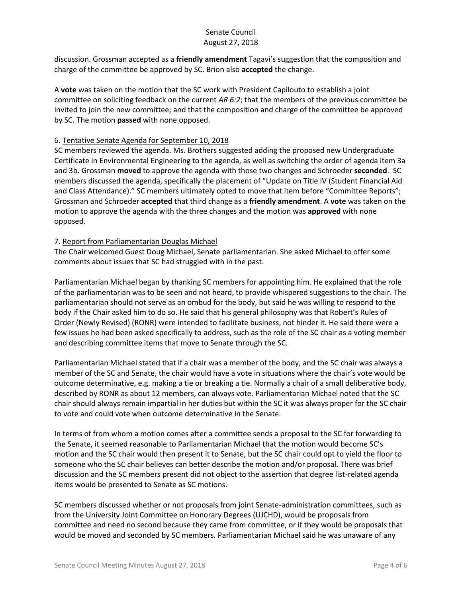discussion. Grossman accepted as a **friendly amendment** Tagavi's suggestion that the composition and charge of the committee be approved by SC. Brion also **accepted** the change.

A **vote** was taken on the motion that the SC work with President Capilouto to establish a joint committee on soliciting feedback on the current *AR 6:2*; that the members of the previous committee be invited to join the new committee; and that the composition and charge of the committee be approved by SC. The motion **passed** with none opposed.

#### 6. Tentative Senate Agenda for September 10, 2018

SC members reviewed the agenda. Ms. Brothers suggested adding the proposed new Undergraduate Certificate in Environmental Engineering to the agenda, as well as switching the order of agenda item 3a and 3b. Grossman **moved** to approve the agenda with those two changes and Schroeder **seconded**. SC members discussed the agenda, specifically the placement of "Update on Title IV (Student Financial Aid and Class Attendance)." SC members ultimately opted to move that item before "Committee Reports"; Grossman and Schroeder **accepted** that third change as a **friendly amendment**. A **vote** was taken on the motion to approve the agenda with the three changes and the motion was **approved** with none opposed.

## 7. Report from Parliamentarian Douglas Michael

The Chair welcomed Guest Doug Michael, Senate parliamentarian. She asked Michael to offer some comments about issues that SC had struggled with in the past.

Parliamentarian Michael began by thanking SC members for appointing him. He explained that the role of the parliamentarian was to be seen and not heard, to provide whispered suggestions to the chair. The parliamentarian should not serve as an ombud for the body, but said he was willing to respond to the body if the Chair asked him to do so. He said that his general philosophy was that Robert's Rules of Order (Newly Revised) (RONR) were intended to facilitate business, not hinder it. He said there were a few issues he had been asked specifically to address, such as the role of the SC chair as a voting member and describing committee items that move to Senate through the SC.

Parliamentarian Michael stated that if a chair was a member of the body, and the SC chair was always a member of the SC and Senate, the chair would have a vote in situations where the chair's vote would be outcome determinative, e.g. making a tie or breaking a tie. Normally a chair of a small deliberative body, described by RONR as about 12 members, can always vote. Parliamentarian Michael noted that the SC chair should always remain impartial in her duties but within the SC it was always proper for the SC chair to vote and could vote when outcome determinative in the Senate.

In terms of from whom a motion comes after a committee sends a proposal to the SC for forwarding to the Senate, it seemed reasonable to Parliamentarian Michael that the motion would become SC's motion and the SC chair would then present it to Senate, but the SC chair could opt to yield the floor to someone who the SC chair believes can better describe the motion and/or proposal. There was brief discussion and the SC members present did not object to the assertion that degree list-related agenda items would be presented to Senate as SC motions.

SC members discussed whether or not proposals from joint Senate-administration committees, such as from the University Joint Committee on Honorary Degrees (UJCHD), would be proposals from committee and need no second because they came from committee, or if they would be proposals that would be moved and seconded by SC members. Parliamentarian Michael said he was unaware of any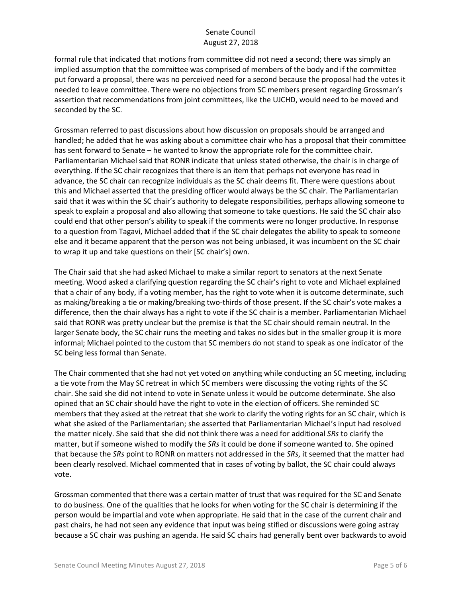formal rule that indicated that motions from committee did not need a second; there was simply an implied assumption that the committee was comprised of members of the body and if the committee put forward a proposal, there was no perceived need for a second because the proposal had the votes it needed to leave committee. There were no objections from SC members present regarding Grossman's assertion that recommendations from joint committees, like the UJCHD, would need to be moved and seconded by the SC.

Grossman referred to past discussions about how discussion on proposals should be arranged and handled; he added that he was asking about a committee chair who has a proposal that their committee has sent forward to Senate – he wanted to know the appropriate role for the committee chair. Parliamentarian Michael said that RONR indicate that unless stated otherwise, the chair is in charge of everything. If the SC chair recognizes that there is an item that perhaps not everyone has read in advance, the SC chair can recognize individuals as the SC chair deems fit. There were questions about this and Michael asserted that the presiding officer would always be the SC chair. The Parliamentarian said that it was within the SC chair's authority to delegate responsibilities, perhaps allowing someone to speak to explain a proposal and also allowing that someone to take questions. He said the SC chair also could end that other person's ability to speak if the comments were no longer productive. In response to a question from Tagavi, Michael added that if the SC chair delegates the ability to speak to someone else and it became apparent that the person was not being unbiased, it was incumbent on the SC chair to wrap it up and take questions on their [SC chair's] own.

The Chair said that she had asked Michael to make a similar report to senators at the next Senate meeting. Wood asked a clarifying question regarding the SC chair's right to vote and Michael explained that a chair of any body, if a voting member, has the right to vote when it is outcome determinate, such as making/breaking a tie or making/breaking two-thirds of those present. If the SC chair's vote makes a difference, then the chair always has a right to vote if the SC chair is a member. Parliamentarian Michael said that RONR was pretty unclear but the premise is that the SC chair should remain neutral. In the larger Senate body, the SC chair runs the meeting and takes no sides but in the smaller group it is more informal; Michael pointed to the custom that SC members do not stand to speak as one indicator of the SC being less formal than Senate.

The Chair commented that she had not yet voted on anything while conducting an SC meeting, including a tie vote from the May SC retreat in which SC members were discussing the voting rights of the SC chair. She said she did not intend to vote in Senate unless it would be outcome determinate. She also opined that an SC chair should have the right to vote in the election of officers. She reminded SC members that they asked at the retreat that she work to clarify the voting rights for an SC chair, which is what she asked of the Parliamentarian; she asserted that Parliamentarian Michael's input had resolved the matter nicely. She said that she did not think there was a need for additional *SRs* to clarify the matter, but if someone wished to modify the *SRs* it could be done if someone wanted to. She opined that because the *SRs* point to RONR on matters not addressed in the *SRs*, it seemed that the matter had been clearly resolved. Michael commented that in cases of voting by ballot, the SC chair could always vote.

Grossman commented that there was a certain matter of trust that was required for the SC and Senate to do business. One of the qualities that he looks for when voting for the SC chair is determining if the person would be impartial and vote when appropriate. He said that in the case of the current chair and past chairs, he had not seen any evidence that input was being stifled or discussions were going astray because a SC chair was pushing an agenda. He said SC chairs had generally bent over backwards to avoid